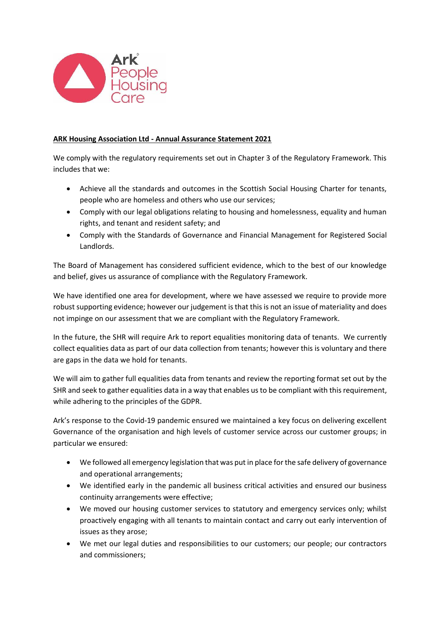

## **ARK Housing Association Ltd - Annual Assurance Statement 2021**

We comply with the regulatory requirements set out in Chapter 3 of the Regulatory Framework. This includes that we:

- Achieve all the standards and outcomes in the Scottish Social Housing Charter for tenants, people who are homeless and others who use our services;
- Comply with our legal obligations relating to housing and homelessness, equality and human rights, and tenant and resident safety; and
- Comply with the Standards of Governance and Financial Management for Registered Social Landlords.

The Board of Management has considered sufficient evidence, which to the best of our knowledge and belief, gives us assurance of compliance with the Regulatory Framework.

We have identified one area for development, where we have assessed we require to provide more robust supporting evidence; however our judgement is that this is not an issue of materiality and does not impinge on our assessment that we are compliant with the Regulatory Framework.

In the future, the SHR will require Ark to report equalities monitoring data of tenants. We currently collect equalities data as part of our data collection from tenants; however this is voluntary and there are gaps in the data we hold for tenants.

We will aim to gather full equalities data from tenants and review the reporting format set out by the SHR and seek to gather equalities data in a way that enables us to be compliant with this requirement, while adhering to the principles of the GDPR.

Ark's response to the Covid-19 pandemic ensured we maintained a key focus on delivering excellent Governance of the organisation and high levels of customer service across our customer groups; in particular we ensured:

- We followed all emergency legislation that was put in place for the safe delivery of governance and operational arrangements;
- We identified early in the pandemic all business critical activities and ensured our business continuity arrangements were effective;
- We moved our housing customer services to statutory and emergency services only; whilst proactively engaging with all tenants to maintain contact and carry out early intervention of issues as they arose;
- We met our legal duties and responsibilities to our customers; our people; our contractors and commissioners;